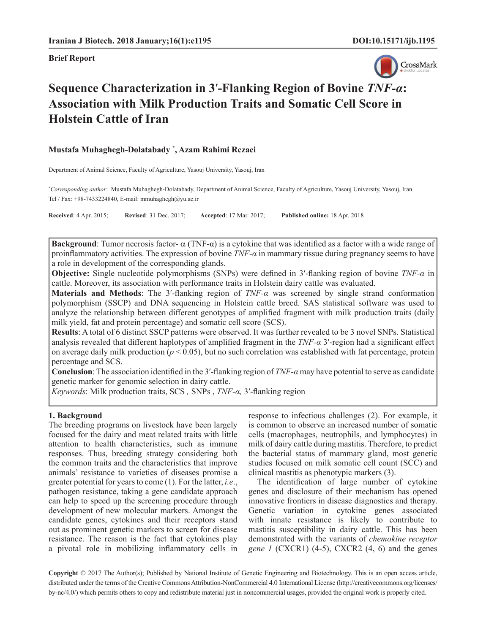

# **Sequence Characterization in 3**′**-Flanking Region of Bovine** *TNF-α***: Association with Milk Production Traits and Somatic Cell Score in Holstein Cattle of Iran**

**Mustafa Muhaghegh-Dolatabady \* , Azam Rahimi Rezaei**

Department of Animal Science, Faculty of Agriculture, Yasouj University, Yasouj, Iran

**\*** *Corresponding author*: Mustafa Muhaghegh-Dolatabady, Department of Animal Science, Faculty of Agriculture, Yasouj University, Yasouj, Iran. Tel / Fax: +98-7433224840, E-mail: [mmuhaghegh@yu.ac.ir](mailto:mmuhaghegh@yu.ac.ir)

**Received**: 4 Apr. 2015; **Revised**: 31 Dec. 2017; **Accepted**: 17 Mar. 2017; **Published online:** 18 Apr. 2018

**Background**: Tumor necrosis factor- $\alpha$  (TNF- $\alpha$ ) is a cytokine that was identified as a factor with a wide range of proinflammatory activities. The expression of bovine *TNF-α* in mammary tissue during pregnancy seems to have a role in development of the corresponding glands.

**Objective:** Single nucleotide polymorphisms (SNPs) were defined in 3′-flanking region of bovine *TNF-α* in cattle. Moreover, its association with performance traits in Holstein dairy cattle was evaluated.

**Materials and Methods**: The 3′-flanking region of *TNF-α* was screened by single strand conformation polymorphism (SSCP) and DNA sequencing in Holstein cattle breed. SAS statistical software was used to analyze the relationship between different genotypes of amplified fragment with milk production traits (daily milk yield, fat and protein percentage) and somatic cell score (SCS).

**Results**: A total of 6 distinct SSCP patterns were observed. It was further revealed to be 3 novel SNPs. Statistical analysis revealed that different haplotypes of amplified fragment in the *TNF-α* 3′-region had a significant effect on average daily milk production ( $p < 0.05$ ), but no such correlation was established with fat percentage, protein percentage and SCS.

**Conclusion**: The association identified in the 3′-flanking region of *TNF-α* may have potential to serve as candidate genetic marker for genomic selection in dairy cattle.

*Keywords*: Milk production traits, SCS *,* SNPs , *TNF-α,* 3′-flanking region

## **1. Background**

The breeding programs on livestock have been largely focused for the dairy and meat related traits with little attention to health characteristics, such as immune responses. Thus, breeding strategy considering both the common traits and the characteristics that improve animals' resistance to varieties of diseases promise a greater potential for years to come (1). For the latter, *i.e*., pathogen resistance, taking a gene candidate approach can help to speed up the screening procedure through development of new molecular markers. Amongst the candidate genes, cytokines and their receptors stand out as prominent genetic markers to screen for disease resistance. The reason is the fact that cytokines play a pivotal role in mobilizing inflammatory cells in response to infectious challenges (2). For example, it is common to observe an increased number of somatic cells (macrophages, neutrophils, and lymphocytes) in milk of dairy cattle during mastitis. Therefore, to predict the bacterial status of mammary gland, most genetic studies focused on milk somatic cell count (SCC) and clinical mastitis as phenotypic markers (3).

The identification of large number of cytokine genes and disclosure of their mechanism has opened innovative frontiers in disease diagnostics and therapy. Genetic variation in cytokine genes associated with innate resistance is likely to contribute to mastitis susceptibility in dairy cattle. This has been demonstrated with the variants of *chemokine receptor gene 1* (CXCR1) (4-5), CXCR2 (4, 6) and the genes

**Copyright** © 2017 The Author(s); Published by National Institute of Genetic Engineering and Biotechnology. This is an open access article, distributed under the terms of the Creative Commons Attribution-NonCommercial 4.0 International License (http://creativecommons.org/licenses/ by-nc/4.0/) which permits others to copy and redistribute material just in noncommercial usages, provided the original work is properly cited.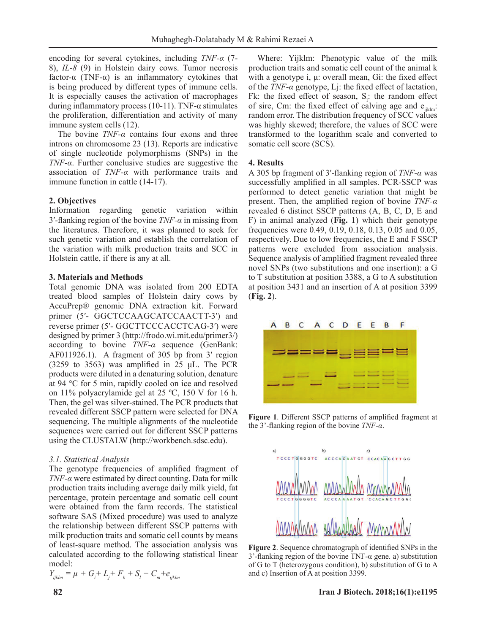encoding for several cytokines, including *TNF-α* (7- 8), *IL-8* (9) in Holstein dairy cows. Tumor necrosis factor-α (TNF-α) is an inflammatory cytokines that is being produced by different types of immune cells. It is especially causes the activation of macrophages during inflammatory process (10-11). TNF- $\alpha$  stimulates the proliferation, differentiation and activity of many immune system cells (12).

The bovine *TNF-α* contains four exons and three introns on chromosome 23 (13). Reports are indicative of single nucleotide polymorphisms (SNPs) in the *TNF-α*. Further conclusive studies are suggestive the association of *TNF-α* with performance traits and immune function in cattle (14-17).

## **2. Objectives**

Information regarding genetic variation within 3′-flanking region of the bovine *TNF-α* in missing from the literatures. Therefore, it was planned to seek for such genetic variation and establish the correlation of the variation with milk production traits and SCC in Holstein cattle, if there is any at all.

#### **3. Materials and Methods**

Total genomic DNA was isolated from 200 EDTA treated blood samples of Holstein dairy cows by AccuPrep® genomic DNA extraction kit. Forward primer (5′- GGCTCCAAGCATCCAACTT-3′) and reverse primer (5′- GGCTTCCCACCTCAG-3′) were designed by primer 3 (http://frodo.wi.mit.edu/primer3/) according to bovine *TNF-α* sequence (GenBank: AF011926.1). A fragment of 305 bp from 3′ region (3259 to 3563) was amplified in 25  $\mu$ L. The PCR products were diluted in a denaturing solution, denature at 94 °C for 5 min, rapidly cooled on ice and resolved on 11% polyacrylamide gel at 25 ºC, 150 V for 16 h. Then, the gel was silver-stained. The PCR products that revealed different SSCP pattern were selected for DNA sequencing. The multiple alignments of the nucleotide sequences were carried out for different SSCP patterns using the CLUSTALW (<http://workbench.sdsc.edu>).

#### *3.1. Statistical Analysis*

The genotype frequencies of amplified fragment of *TNF-α* were estimated by direct counting. Data for milk production traits including average daily milk yield, fat percentage, protein percentage and somatic cell count were obtained from the farm records. The statistical software SAS (Mixed procedure) was used to analyze the relationship between different SSCP patterns with milk production traits and somatic cell counts by means of least-square method. The association analysis was calculated according to the following statistical linear model:

$$
Y_{ijklm} = \mu + G_i + L_j + F_k + S_l + C_m + e_{ijklm}
$$

Where: Yijklm: Phenotypic value of the milk production traits and somatic cell count of the animal k with a genotype i, μ: overall mean, Gi: the fixed effect of the *TNF-α* genotype, Lj: the fixed effect of lactation, Fk: the fixed effect of season,  $S_i$ : the random effect of sire, Cm: the fixed effect of calving age and  $e_{ijklm}$ : random error. The distribution frequency of SCC values was highly skewed; therefore, the values of SCC were transformed to the logarithm scale and converted to somatic cell score (SCS).

#### **4. Results**

A 305 bp fragment of 3′-flanking region of *TNF-α* was successfully amplified in all samples. PCR-SSCP was performed to detect genetic variation that might be present. Then, the amplified region of bovine *TNF-α*  revealed 6 distinct SSCP patterns (A, B, C, D, E and F) in animal analyzed (**Fig. 1**) which their genotype frequencies were 0.49, 0.19, 0.18, 0.13, 0.05 and 0.05, respectively. Due to low frequencies, the E and F SSCP patterns were excluded from association analysis. Sequence analysis of amplified fragment revealed three novel SNPs (two substitutions and one insertion): a G to T substitution at position 3388, a G to A substitution at position 3431 and an insertion of A at position 3399 (**Fig. 2**).



**Figure 1**. Different SSCP patterns of amplified fragment at the 3'-flanking region of the bovine *TNF-α*.



**Figure 2**. Sequence chromatograph of identified SNPs in the 3'-flanking region of the bovine TNF-α gene. a) substitution of G to T (heterozygous condition), b) substitution of G to A and c) Insertion of A at position 3399.

#### **82 Iran J Biotech. 2018;16(1):e1195**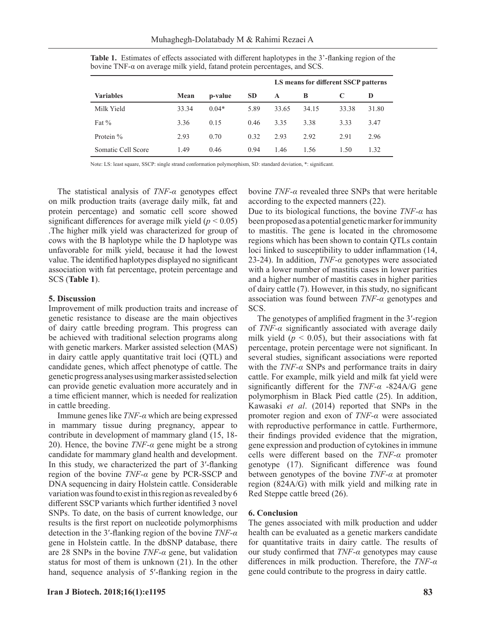|                    |       |         |           | LS means for different SSCP patterns |       |       |       |
|--------------------|-------|---------|-----------|--------------------------------------|-------|-------|-------|
| <b>Variables</b>   | Mean  | p-value | <b>SD</b> | A                                    | B     |       | Ð     |
| Milk Yield         | 33.34 | $0.04*$ | 5.89      | 33.65                                | 34.15 | 33.38 | 31.80 |
| Fat $\%$           | 3.36  | 0.15    | 0.46      | 3.35                                 | 3.38  | 3.33  | 3.47  |
| Protein %          | 2.93  | 0.70    | 0.32      | 2.93                                 | 2.92  | 2.91  | 2.96  |
| Somatic Cell Score | 1.49  | 0.46    | 0.94      | 1.46                                 | 1.56  | 1.50  | 1.32  |

**Table 1.** Estimates of effects associated with different haplotypes in the 3'-flanking region of the bovine TNF-α on average milk yield, fatand protein percentages, and SCS.

Note: LS: least square, SSCP: single strand conformation polymorphism, SD: standard deviation, \*: significant.

The statistical analysis of *TNF-α* genotypes effect on milk production traits (average daily milk, fat and protein percentage) and somatic cell score showed significant differences for average milk yield  $(p < 0.05)$ .The higher milk yield was characterized for group of cows with the B haplotype while the D haplotype was unfavorable for milk yield, because it had the lowest value. The identified haplotypes displayed no significant association with fat percentage, protein percentage and SCS (**Table 1**).

#### **5. Discussion**

Improvement of milk production traits and increase of genetic resistance to disease are the main objectives of dairy cattle breeding program. This progress can be achieved with traditional selection programs along with genetic markers. Marker assisted selection (MAS) in dairy cattle apply quantitative trait loci (QTL) and candidate genes, which affect phenotype of cattle. The genetic progress analyses using marker assisted selection can provide genetic evaluation more accurately and in a time efficient manner, which is needed for realization in cattle breeding.

Immune genes like *TNF-α* which are being expressed in mammary tissue during pregnancy, appear to contribute in development of mammary gland (15, 18- 20). Hence, the bovine *TNF-α* gene might be a strong candidate for mammary gland health and development. In this study, we characterized the part of 3′-flanking region of the bovine *TNF-α* gene by PCR-SSCP and DNA sequencing in dairy Holstein cattle. Considerable variation was found to exist in this region as revealed by 6 different SSCP variants which further identified 3 novel SNPs. To date, on the basis of current knowledge, our results is the first report on nucleotide polymorphisms detection in the 3′-flanking region of the bovine *TNF-α* gene in Holstein cattle. In the dbSNP database, there are 28 SNPs in the bovine *TNF-α* gene, but validation status for most of them is unknown (21). In the other hand, sequence analysis of 5′-flanking region in the bovine *TNF-α* revealed three SNPs that were heritable according to the expected manners (22).

Due to its biological functions, the bovine *TNF-α* has been proposed as a potential genetic marker for immunity to mastitis. The gene is located in the chromosome regions which has been shown to contain QTLs contain loci linked to susceptibility to udder inflammation (14, 23-24). In addition, *TNF-α* genotypes were associated with a lower number of mastitis cases in lower parities and a higher number of mastitis cases in higher parities of dairy cattle (7). However, in this study, no significant association was found between *TNF-α* genotypes and SCS.

The genotypes of amplified fragment in the 3′-region of *TNF-α* significantly associated with average daily milk yield  $(p < 0.05)$ , but their associations with fat percentage, protein percentage were not significant. In several studies, significant associations were reported with the  $TNF-\alpha$  SNPs and performance traits in dairy cattle. For example, milk yield and milk fat yield were significantly different for the *TNF-α* -824A/G gene polymorphism in Black Pied cattle (25). In addition, Kawasaki *et al*. (2014) reported that SNPs in the promoter region and exon of *TNF-α* were associated with reproductive performance in cattle. Furthermore, their findings provided evidence that the migration, gene expression and production of cytokines in immune cells were different based on the *TNF-α* promoter genotype (17). Significant difference was found between genotypes of the bovine *TNF-α* at promoter region (824A/G) with milk yield and milking rate in Red Steppe cattle breed (26).

# **6. Conclusion**

The genes associated with milk production and udder health can be evaluated as a genetic markers candidate for quantitative traits in dairy cattle. The results of our study confirmed that *TNF-α* genotypes may cause differences in milk production. Therefore, the *TNF-α* gene could contribute to the progress in dairy cattle.